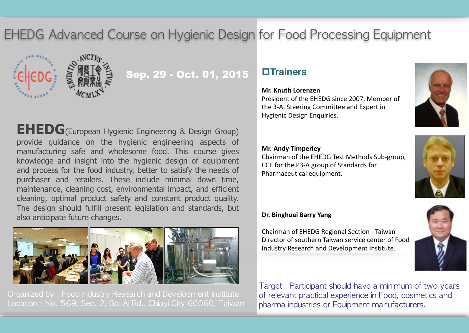**EHEDG** Advanced Course on Hygienic Design for Food Processing Equipment



# Sep. 29 - Oct. 01, 2015

**EHEDG**(European Hygienic Engineering & Design Group) provide guidance on the hygienic engineering aspects of manufacturing safe and wholesome food. This course gives knowledge and insight into the hygienic design of equipment and process for the food industry, better to satisfy the needs of purchaser and retailers. These include minimal down time, maintenance, cleaning cost, environmental impact, and efficient cleaning, optimal product safety and constant product quality. The design should fulfill present legislation and standards, but also anticipate future changes.



Organized by: Food industry Research and Development Institute Location: No. 569, Sec. 2, Bo-Ai Rd., Chiayi City 60060, Taiwan

## p**Trainers**

#### **Mr. Knuth Lorenzen**

President of the EHEDG since 2007, Member of the 3-A. Steering Committee and Expert in Hygienic Design Enquiries.

#### **Mr. Andy Timperley**

Chairman of the EHEDG Test Methods Sub-group, CCE for the P3-A group of Standards for Pharmaceutical equipment.



#### **Dr. Binghuei Barry Yang**

Chairman of EHEDG Regional Section - Taiwan Director of southern Taiwan service center of Food Industry Research and Development Institute.



Target: Participant should have a minimum of two years of relevant practical experience in Food, cosmetics and pharma industries or Equipment manufacturers.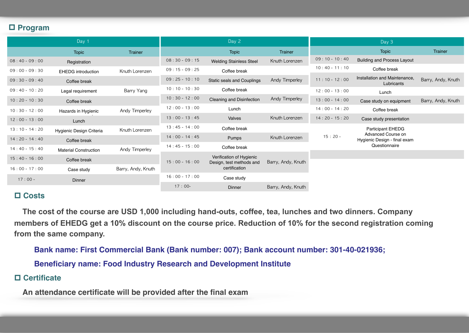#### p **Program**

|                 | Day 1                        |                    |                 | Day 2                                                                 |                    |                 | Day 3                                                               |                    |
|-----------------|------------------------------|--------------------|-----------------|-----------------------------------------------------------------------|--------------------|-----------------|---------------------------------------------------------------------|--------------------|
|                 | <b>Topic</b>                 | <b>Trainer</b>     |                 | <b>Topic</b>                                                          | Trainer            |                 | <b>Topic</b>                                                        | Trainer            |
| $08:40 - 09:00$ | Registration                 |                    | $08:30 - 09:15$ | <b>Welding Stainless Steel</b>                                        | Knuth Lorenzen     | $09:10 - 10:40$ | <b>Building and Process Layout</b>                                  |                    |
| $09:00 - 09:30$ | <b>EHEDG</b> introduction    | Knuth Lorenzen     | $09:15 - 09:25$ | Coffee break                                                          |                    | $10:40 - 11:10$ | Coffee break                                                        |                    |
| $09:30 - 09:40$ | Coffee break                 |                    | $09:25 - 10:10$ | <b>Static seals and Couplings</b>                                     | Andy Timperley     | $11:10 - 12:00$ | Installation and Maintenance.<br>Lubricants                         | Barry, Andy, Knuth |
| $09:40 - 10:20$ | Legal requirement            | Barry Yang         | $10:10 - 10:30$ | Coffee break                                                          |                    | $12:00 - 13:00$ | Lunch                                                               |                    |
| $10:20 - 10:30$ | Coffee break                 |                    | $10:30 - 12:00$ | Cleaning and Disinfection                                             | Andy Timperley     | $13:00 - 14:00$ | Case study on equipment                                             | Barry, Andy, Knuth |
| $10:30 - 12:00$ | Hazards in Hygienic          | Andy Timperley     | $12:00 - 13:00$ | Lunch                                                                 |                    | $14:00 - 14:20$ | Coffee break                                                        |                    |
| $12:00 - 13:00$ | Lunch                        |                    | $13:00 - 13:45$ | Valves                                                                | Knuth Lorenzen     | $14:20 - 15:20$ | Case study presentation                                             |                    |
| $13:10 - 14:20$ | Hygienic Design Criteria     | Knuth Lorenzen     | $13:45 - 14:00$ | Coffee break                                                          |                    |                 | <b>Participant EHEDG</b>                                            |                    |
| $14:20 - 14:40$ | Coffee break                 |                    | $14:00 - 14:45$ | Pumps                                                                 | Knuth Lorenzen     | $15:20 -$       | Advanced Course on<br>Hygienic Design - final exam<br>Questionnaire |                    |
| $14:40 - 15:40$ | <b>Material Construction</b> | Andy Timperley     | $14:45 - 15:00$ | Coffee break                                                          |                    |                 |                                                                     |                    |
| $15:40 - 16:00$ | Coffee break                 |                    |                 | Verification of Hygienic<br>Design, test methods and<br>certification | Barry, Andy, Knuth |                 |                                                                     |                    |
| $16:00 - 17:00$ | Case study                   | Barry, Andy, Knuth | $15:00 - 16:00$ |                                                                       |                    |                 |                                                                     |                    |
| $17:00 -$       | Dinner                       |                    | $16:00 - 17:00$ | Case study                                                            |                    |                 |                                                                     |                    |
|                 |                              |                    | $17:00-$        | Dinner                                                                | Barry, Andy, Knuth |                 |                                                                     |                    |

#### p **Costs**

 **The cost of the course are USD 1,000 including hand-outs, coffee, tea, lunches and two dinners. Company members of EHEDG get a 10% discount on the course price. Reduction of 10% for the second registration coming from the same company.** 

**Bank name: First Commercial Bank (Bank number: 007); Bank account number: 301-40-021936;** 

**Beneficiary name: Food Industry Research and Development Institute**

#### p **Certificate**

 **An attendance certificate will be provided after the final exam**